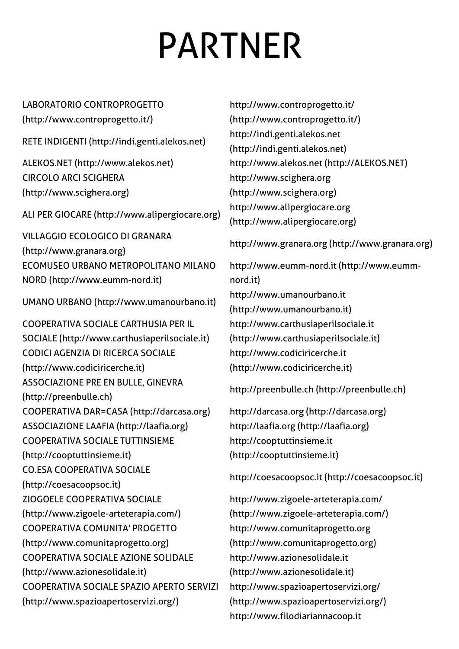## PARTNER

LABORATORIO CONTROPROGETTO

[\(http://www.controprogetto.it/\)](http://www.controprogetto.it/)

RETE INDIGENTI [\(http://indi.genti.alekos.net\)](http://indi.genti.alekos.net/)

CIRCOLO ARCI SCIGHERA [\(http://www.scighera.org\)](http://www.scighera.org/)

ALI PER GIOCARE [\(http://www.alipergiocare.org\)](http://www.alipergiocare.org/)

VILLAGGIO ECOLOGICO DI GRANARA [\(http://www.granara.org\)](http://www.granara.org/) ECOMUSEO URBANO METROPOLITANO MILANO NORD [\(http://www.eumm-nord.it\)](http://www.eumm-nord.it/)

UMANO URBANO [\(http://www.umanourbano.it\)](http://www.umanourbano.it/)

COOPERATIVA SOCIALE CARTHUSIA PER IL SOCIALE [\(http://www.carthusiaperilsociale.it\)](http://www.carthusiaperilsociale.it/) CODICI AGENZIA DI RICERCA SOCIALE [\(http://www.codiciricerche.it\)](http://www.codiciricerche.it/) ASSOCIAZIONE PRE EN BULLE, GINEVRA [\(http://preenbulle.ch\)](http://preenbulle.ch/) COOPERATIVA DAR=CASA [\(http://darcasa.org\)](http://darcasa.org/) http://darcasa.org [\(http://darcasa.org\)](http://darcasa.org/) ASSOCIAZIONE LAAFIA [\(http://laafia.org\)](http://laafia.org/) http://laafia.org [\(http://laafia.org\)](http://laafia.org/) COOPERATIVA SOCIALE TUTTINSIEME [\(http://cooptuttinsieme.it\)](http://cooptuttinsieme.it/) CO.ESA COOPERATIVA SOCIALE [\(http://coesacoopsoc.it\)](http://coesacoopsoc.it/) ZIOGOELE COOPERATIVA SOCIALE [\(http://www.zigoele-arteterapia.com/\)](http://www.zigoele-arteterapia.com/) COOPERATIVA COMUNITA' PROGETTO [\(http://www.comunitaprogetto.org\)](http://www.comunitaprogetto.org/) COOPERATIVA SOCIALE AZIONE SOLIDALE [\(http://www.azionesolidale.it\)](http://www.azionesolidale.it/) COOPERATIVA SOCIALE SPAZIO APERTO SERVIZI [\(http://www.spazioapertoservizi.org/\)](http://www.spazioapertoservizi.org/)

http://www.controprogetto.it/ [\(http://www.controprogetto.it/\)](http://www.controprogetto.it/) http://indi.genti.alekos.net [\(http://indi.genti.alekos.net\)](http://indi.genti.alekos.net/) ALEKOS.NET [\(http://www.alekos.net\)](http://www.alekos.net/) [http://www.alekos.net](http://alekos.net/) (http://ALEKOS.NET) http://www.scighera.org [\(http://www.scighera.org\)](http://www.scighera.org/) http://www.alipergiocare.org [\(http://www.alipergiocare.org\)](http://www.alipergiocare.org/)

http://www.granara.org [\(http://www.granara.org\)](http://www.granara.org/)

[http://www.eumm-nord.it](http://www.eumm-nord.it/) (http://www.eummnord.it) http://www.umanourbano.it [\(http://www.umanourbano.it\)](http://www.umanourbano.it/) http://www.carthusiaperilsociale.it [\(http://www.carthusiaperilsociale.it\)](http://www.carthusiaperilsociale.it/) http://www.codiciricerche.it [\(http://www.codiciricerche.it\)](http://www.codiciricerche.it/)

http://preenbulle.ch [\(http://preenbulle.ch\)](http://preenbulle.ch/)

http://cooptuttinsieme.it [\(http://cooptuttinsieme.it\)](http://cooptuttinsieme.it/)

http://coesacoopsoc.it [\(http://coesacoopsoc.it\)](http://coesacoopsoc.it/)

http://www.zigoele-arteterapia.com/ [\(http://www.zigoele-arteterapia.com/\)](http://www.zigoele-arteterapia.com/) http://www.comunitaprogetto.org [\(http://www.comunitaprogetto.org\)](http://www.comunitaprogetto.org/) http://www.azionesolidale.it [\(http://www.azionesolidale.it\)](http://www.azionesolidale.it/) http://www.spazioapertoservizi.org/ [\(http://www.spazioapertoservizi.org/\)](http://www.spazioapertoservizi.org/) [http://www.filodiariannacoop.it](http://www.filodiariannacoop.it/)